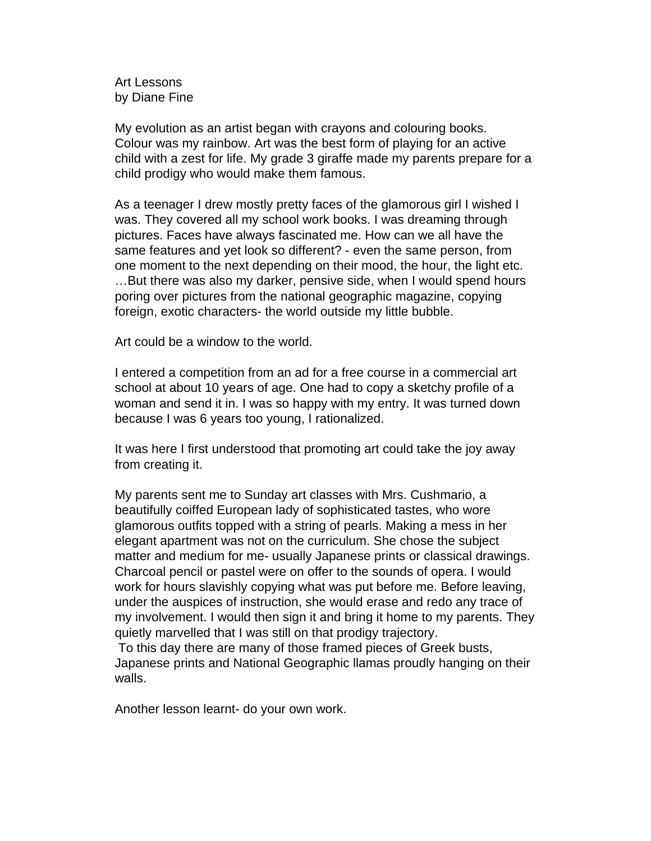Art Lessons by Diane Fine

My evolution as an artist began with crayons and colouring books. Colour was my rainbow. Art was the best form of playing for an active child with a zest for life. My grade 3 giraffe made my parents prepare for a child prodigy who would make them famous.

As a teenager I drew mostly pretty faces of the glamorous girl I wished I was. They covered all my school work books. I was dreaming through pictures. Faces have always fascinated me. How can we all have the same features and yet look so different? - even the same person, from one moment to the next depending on their mood, the hour, the light etc. …But there was also my darker, pensive side, when I would spend hours poring over pictures from the national geographic magazine, copying foreign, exotic characters- the world outside my little bubble.

Art could be a window to the world.

I entered a competition from an ad for a free course in a commercial art school at about 10 years of age. One had to copy a sketchy profile of a woman and send it in. I was so happy with my entry. It was turned down because I was 6 years too young, I rationalized.

It was here I first understood that promoting art could take the joy away from creating it.

My parents sent me to Sunday art classes with Mrs. Cushmario, a beautifully coiffed European lady of sophisticated tastes, who wore glamorous outfits topped with a string of pearls. Making a mess in her elegant apartment was not on the curriculum. She chose the subject matter and medium for me- usually Japanese prints or classical drawings. Charcoal pencil or pastel were on offer to the sounds of opera. I would work for hours slavishly copying what was put before me. Before leaving, under the auspices of instruction, she would erase and redo any trace of my involvement. I would then sign it and bring it home to my parents. They quietly marvelled that I was still on that prodigy trajectory.

 To this day there are many of those framed pieces of Greek busts, Japanese prints and National Geographic llamas proudly hanging on their walls.

Another lesson learnt- do your own work.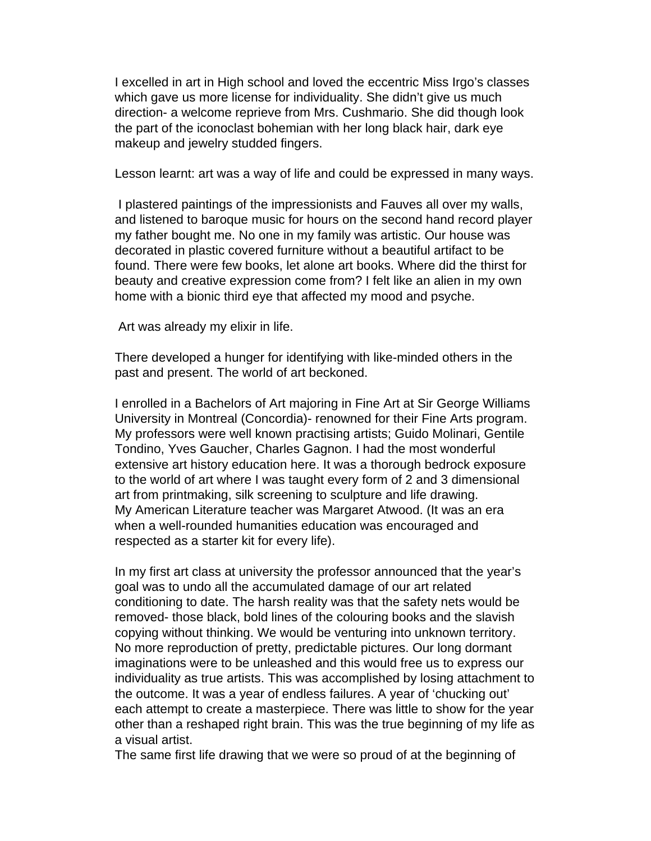I excelled in art in High school and loved the eccentric Miss Irgo's classes which gave us more license for individuality. She didn't give us much direction- a welcome reprieve from Mrs. Cushmario. She did though look the part of the iconoclast bohemian with her long black hair, dark eye makeup and jewelry studded fingers.

Lesson learnt: art was a way of life and could be expressed in many ways.

 I plastered paintings of the impressionists and Fauves all over my walls, and listened to baroque music for hours on the second hand record player my father bought me. No one in my family was artistic. Our house was decorated in plastic covered furniture without a beautiful artifact to be found. There were few books, let alone art books. Where did the thirst for beauty and creative expression come from? I felt like an alien in my own home with a bionic third eye that affected my mood and psyche.

Art was already my elixir in life.

There developed a hunger for identifying with like-minded others in the past and present. The world of art beckoned.

I enrolled in a Bachelors of Art majoring in Fine Art at Sir George Williams University in Montreal (Concordia)- renowned for their Fine Arts program. My professors were well known practising artists; Guido Molinari, Gentile Tondino, Yves Gaucher, Charles Gagnon. I had the most wonderful extensive art history education here. It was a thorough bedrock exposure to the world of art where I was taught every form of 2 and 3 dimensional art from printmaking, silk screening to sculpture and life drawing. My American Literature teacher was Margaret Atwood. (It was an era when a well-rounded humanities education was encouraged and respected as a starter kit for every life).

In my first art class at university the professor announced that the year's goal was to undo all the accumulated damage of our art related conditioning to date. The harsh reality was that the safety nets would be removed- those black, bold lines of the colouring books and the slavish copying without thinking. We would be venturing into unknown territory. No more reproduction of pretty, predictable pictures. Our long dormant imaginations were to be unleashed and this would free us to express our individuality as true artists. This was accomplished by losing attachment to the outcome. It was a year of endless failures. A year of 'chucking out' each attempt to create a masterpiece. There was little to show for the year other than a reshaped right brain. This was the true beginning of my life as a visual artist.

The same first life drawing that we were so proud of at the beginning of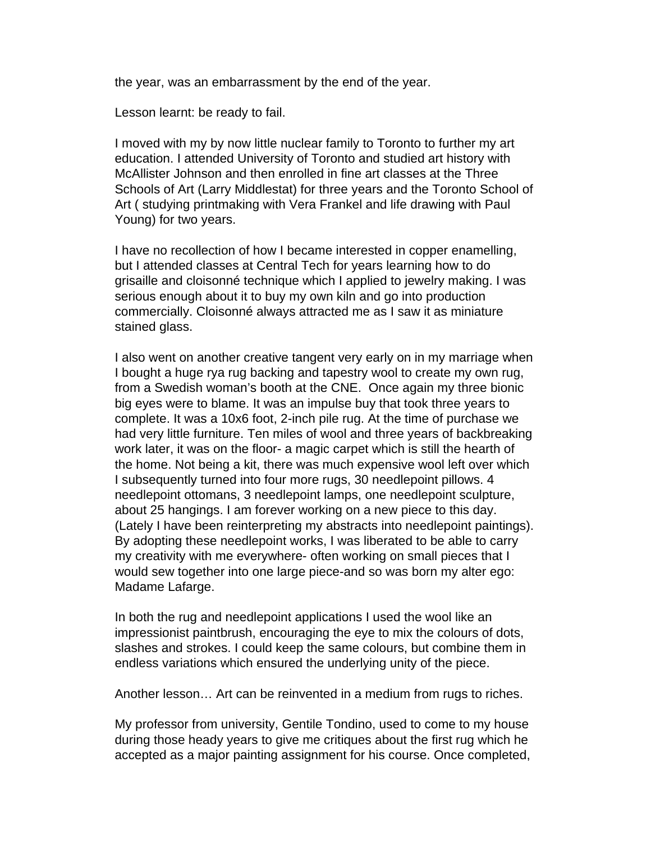the year, was an embarrassment by the end of the year.

Lesson learnt: be ready to fail.

I moved with my by now little nuclear family to Toronto to further my art education. I attended University of Toronto and studied art history with McAllister Johnson and then enrolled in fine art classes at the Three Schools of Art (Larry Middlestat) for three years and the Toronto School of Art ( studying printmaking with Vera Frankel and life drawing with Paul Young) for two years.

I have no recollection of how I became interested in copper enamelling, but I attended classes at Central Tech for years learning how to do grisaille and cloisonné technique which I applied to jewelry making. I was serious enough about it to buy my own kiln and go into production commercially. Cloisonné always attracted me as I saw it as miniature stained glass.

I also went on another creative tangent very early on in my marriage when I bought a huge rya rug backing and tapestry wool to create my own rug, from a Swedish woman's booth at the CNE. Once again my three bionic big eyes were to blame. It was an impulse buy that took three years to complete. It was a 10x6 foot, 2-inch pile rug. At the time of purchase we had very little furniture. Ten miles of wool and three years of backbreaking work later, it was on the floor- a magic carpet which is still the hearth of the home. Not being a kit, there was much expensive wool left over which I subsequently turned into four more rugs, 30 needlepoint pillows. 4 needlepoint ottomans, 3 needlepoint lamps, one needlepoint sculpture, about 25 hangings. I am forever working on a new piece to this day. (Lately I have been reinterpreting my abstracts into needlepoint paintings). By adopting these needlepoint works, I was liberated to be able to carry my creativity with me everywhere- often working on small pieces that I would sew together into one large piece-and so was born my alter ego: Madame Lafarge.

In both the rug and needlepoint applications I used the wool like an impressionist paintbrush, encouraging the eye to mix the colours of dots, slashes and strokes. I could keep the same colours, but combine them in endless variations which ensured the underlying unity of the piece.

Another lesson… Art can be reinvented in a medium from rugs to riches.

My professor from university, Gentile Tondino, used to come to my house during those heady years to give me critiques about the first rug which he accepted as a major painting assignment for his course. Once completed,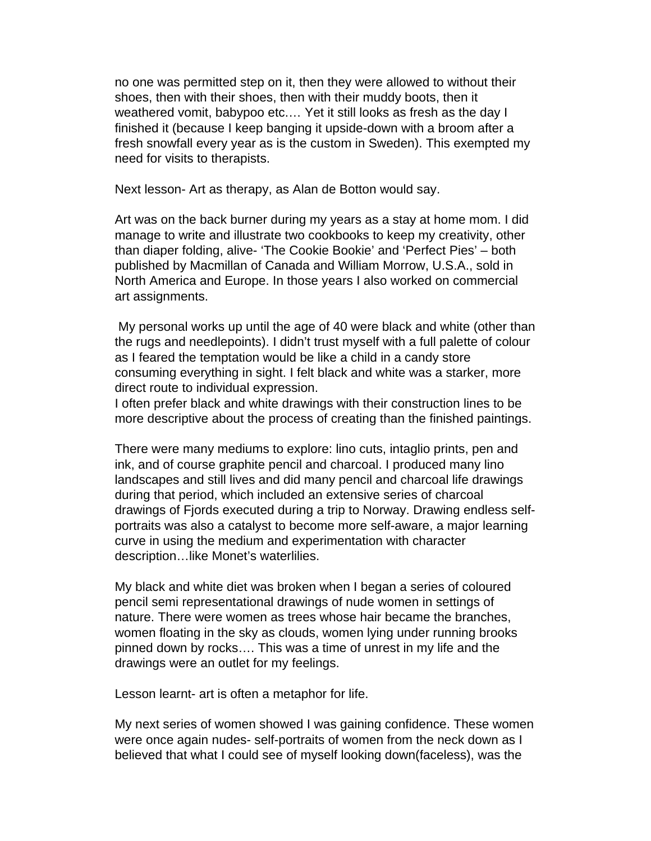no one was permitted step on it, then they were allowed to without their shoes, then with their shoes, then with their muddy boots, then it weathered vomit, babypoo etc.… Yet it still looks as fresh as the day I finished it (because I keep banging it upside-down with a broom after a fresh snowfall every year as is the custom in Sweden). This exempted my need for visits to therapists.

Next lesson- Art as therapy, as Alan de Botton would say.

Art was on the back burner during my years as a stay at home mom. I did manage to write and illustrate two cookbooks to keep my creativity, other than diaper folding, alive- 'The Cookie Bookie' and 'Perfect Pies' – both published by Macmillan of Canada and William Morrow, U.S.A., sold in North America and Europe. In those years I also worked on commercial art assignments.

 My personal works up until the age of 40 were black and white (other than the rugs and needlepoints). I didn't trust myself with a full palette of colour as I feared the temptation would be like a child in a candy store consuming everything in sight. I felt black and white was a starker, more direct route to individual expression.

I often prefer black and white drawings with their construction lines to be more descriptive about the process of creating than the finished paintings.

There were many mediums to explore: lino cuts, intaglio prints, pen and ink, and of course graphite pencil and charcoal. I produced many lino landscapes and still lives and did many pencil and charcoal life drawings during that period, which included an extensive series of charcoal drawings of Fjords executed during a trip to Norway. Drawing endless selfportraits was also a catalyst to become more self-aware, a major learning curve in using the medium and experimentation with character description…like Monet's waterlilies.

My black and white diet was broken when I began a series of coloured pencil semi representational drawings of nude women in settings of nature. There were women as trees whose hair became the branches, women floating in the sky as clouds, women lying under running brooks pinned down by rocks…. This was a time of unrest in my life and the drawings were an outlet for my feelings.

Lesson learnt- art is often a metaphor for life.

My next series of women showed I was gaining confidence. These women were once again nudes- self-portraits of women from the neck down as I believed that what I could see of myself looking down(faceless), was the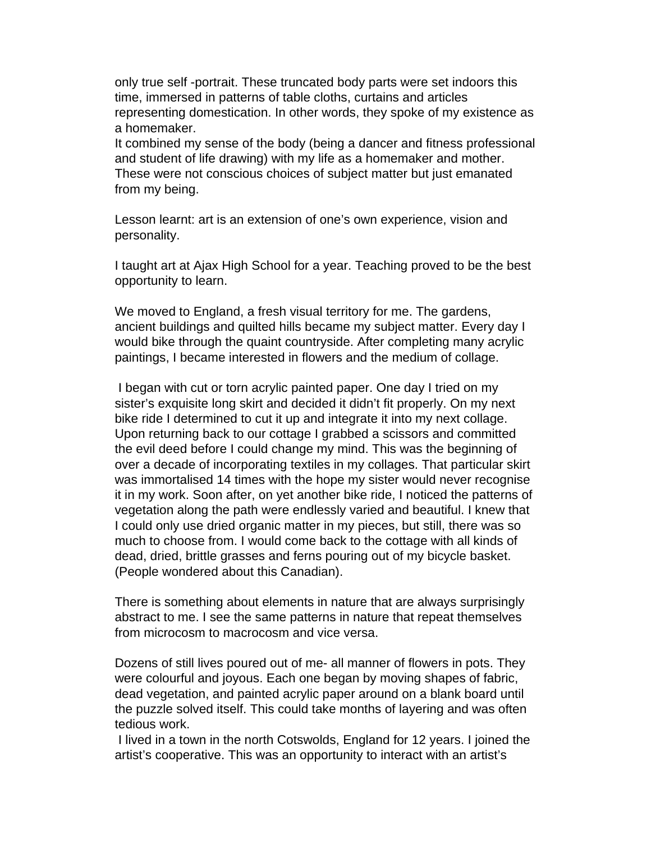only true self -portrait. These truncated body parts were set indoors this time, immersed in patterns of table cloths, curtains and articles representing domestication. In other words, they spoke of my existence as a homemaker.

It combined my sense of the body (being a dancer and fitness professional and student of life drawing) with my life as a homemaker and mother. These were not conscious choices of subject matter but just emanated from my being.

Lesson learnt: art is an extension of one's own experience, vision and personality.

I taught art at Ajax High School for a year. Teaching proved to be the best opportunity to learn.

We moved to England, a fresh visual territory for me. The gardens, ancient buildings and quilted hills became my subject matter. Every day I would bike through the quaint countryside. After completing many acrylic paintings, I became interested in flowers and the medium of collage.

 I began with cut or torn acrylic painted paper. One day I tried on my sister's exquisite long skirt and decided it didn't fit properly. On my next bike ride I determined to cut it up and integrate it into my next collage. Upon returning back to our cottage I grabbed a scissors and committed the evil deed before I could change my mind. This was the beginning of over a decade of incorporating textiles in my collages. That particular skirt was immortalised 14 times with the hope my sister would never recognise it in my work. Soon after, on yet another bike ride, I noticed the patterns of vegetation along the path were endlessly varied and beautiful. I knew that I could only use dried organic matter in my pieces, but still, there was so much to choose from. I would come back to the cottage with all kinds of dead, dried, brittle grasses and ferns pouring out of my bicycle basket. (People wondered about this Canadian).

There is something about elements in nature that are always surprisingly abstract to me. I see the same patterns in nature that repeat themselves from microcosm to macrocosm and vice versa.

Dozens of still lives poured out of me- all manner of flowers in pots. They were colourful and joyous. Each one began by moving shapes of fabric, dead vegetation, and painted acrylic paper around on a blank board until the puzzle solved itself. This could take months of layering and was often tedious work.

 I lived in a town in the north Cotswolds, England for 12 years. I joined the artist's cooperative. This was an opportunity to interact with an artist's